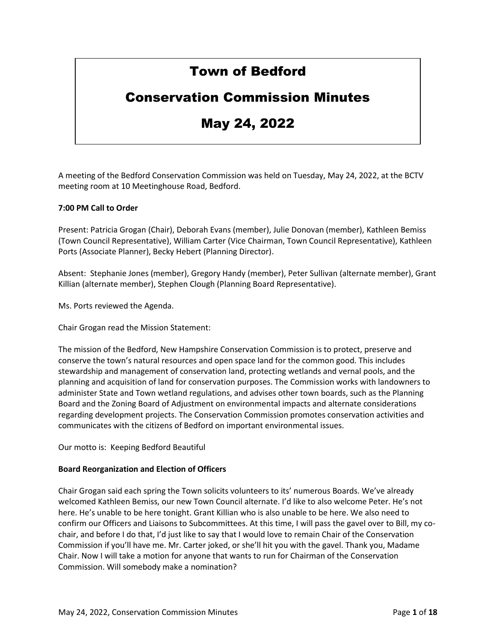# Town of Bedford

## Conservation Commission Minutes

# May 24, 2022

A meeting of the Bedford Conservation Commission was held on Tuesday, May 24, 2022, at the BCTV meeting room at 10 Meetinghouse Road, Bedford.

#### **7:00 PM Call to Order**

Present: Patricia Grogan (Chair), Deborah Evans (member), Julie Donovan (member), Kathleen Bemiss (Town Council Representative), William Carter (Vice Chairman, Town Council Representative), Kathleen Ports (Associate Planner), Becky Hebert (Planning Director).

Absent: Stephanie Jones (member), Gregory Handy (member), Peter Sullivan (alternate member), Grant Killian (alternate member), Stephen Clough (Planning Board Representative).

Ms. Ports reviewed the Agenda.

Chair Grogan read the Mission Statement:

The mission of the Bedford, New Hampshire Conservation Commission is to protect, preserve and conserve the town's natural resources and open space land for the common good. This includes stewardship and management of conservation land, protecting wetlands and vernal pools, and the planning and acquisition of land for conservation purposes. The Commission works with landowners to administer State and Town wetland regulations, and advises other town boards, such as the Planning Board and the Zoning Board of Adjustment on environmental impacts and alternate considerations regarding development projects. The Conservation Commission promotes conservation activities and communicates with the citizens of Bedford on important environmental issues.

Our motto is: Keeping Bedford Beautiful

#### **Board Reorganization and Election of Officers**

Chair Grogan said each spring the Town solicits volunteers to its' numerous Boards. We've already welcomed Kathleen Bemiss, our new Town Council alternate. I'd like to also welcome Peter. He's not here. He's unable to be here tonight. Grant Killian who is also unable to be here. We also need to confirm our Officers and Liaisons to Subcommittees. At this time, I will pass the gavel over to Bill, my cochair, and before I do that, I'd just like to say that I would love to remain Chair of the Conservation Commission if you'll have me. Mr. Carter joked, or she'll hit you with the gavel. Thank you, Madame Chair. Now I will take a motion for anyone that wants to run for Chairman of the Conservation Commission. Will somebody make a nomination?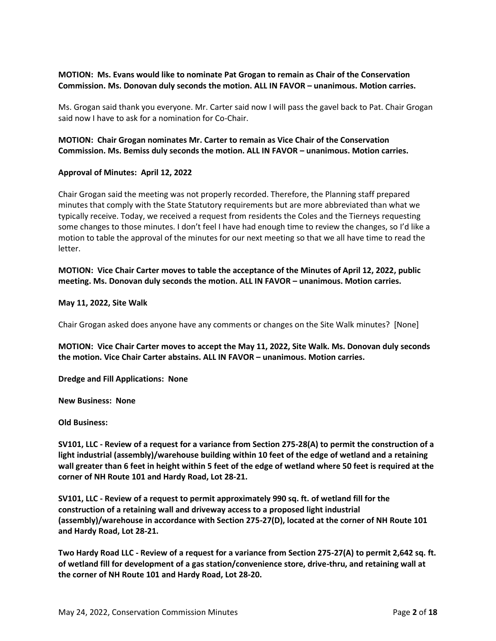#### **MOTION: Ms. Evans would like to nominate Pat Grogan to remain as Chair of the Conservation Commission. Ms. Donovan duly seconds the motion. ALL IN FAVOR – unanimous. Motion carries.**

Ms. Grogan said thank you everyone. Mr. Carter said now I will pass the gavel back to Pat. Chair Grogan said now I have to ask for a nomination for Co-Chair.

### **MOTION: Chair Grogan nominates Mr. Carter to remain as Vice Chair of the Conservation Commission. Ms. Bemiss duly seconds the motion. ALL IN FAVOR – unanimous. Motion carries.**

#### **Approval of Minutes: April 12, 2022**

Chair Grogan said the meeting was not properly recorded. Therefore, the Planning staff prepared minutes that comply with the State Statutory requirements but are more abbreviated than what we typically receive. Today, we received a request from residents the Coles and the Tierneys requesting some changes to those minutes. I don't feel I have had enough time to review the changes, so I'd like a motion to table the approval of the minutes for our next meeting so that we all have time to read the letter.

**MOTION: Vice Chair Carter moves to table the acceptance of the Minutes of April 12, 2022, public meeting. Ms. Donovan duly seconds the motion. ALL IN FAVOR – unanimous. Motion carries.**

#### **May 11, 2022, Site Walk**

Chair Grogan asked does anyone have any comments or changes on the Site Walk minutes? [None]

**MOTION: Vice Chair Carter moves to accept the May 11, 2022, Site Walk. Ms. Donovan duly seconds the motion. Vice Chair Carter abstains. ALL IN FAVOR – unanimous. Motion carries.**

**Dredge and Fill Applications: None**

**New Business: None**

**Old Business:** 

**SV101, LLC - Review of a request for a variance from Section 275-28(A) to permit the construction of a light industrial (assembly)/warehouse building within 10 feet of the edge of wetland and a retaining wall greater than 6 feet in height within 5 feet of the edge of wetland where 50 feet is required at the corner of NH Route 101 and Hardy Road, Lot 28-21.**

**SV101, LLC - Review of a request to permit approximately 990 sq. ft. of wetland fill for the construction of a retaining wall and driveway access to a proposed light industrial (assembly)/warehouse in accordance with Section 275-27(D), located at the corner of NH Route 101 and Hardy Road, Lot 28-21.**

**Two Hardy Road LLC - Review of a request for a variance from Section 275-27(A) to permit 2,642 sq. ft. of wetland fill for development of a gas station/convenience store, drive-thru, and retaining wall at the corner of NH Route 101 and Hardy Road, Lot 28-20.**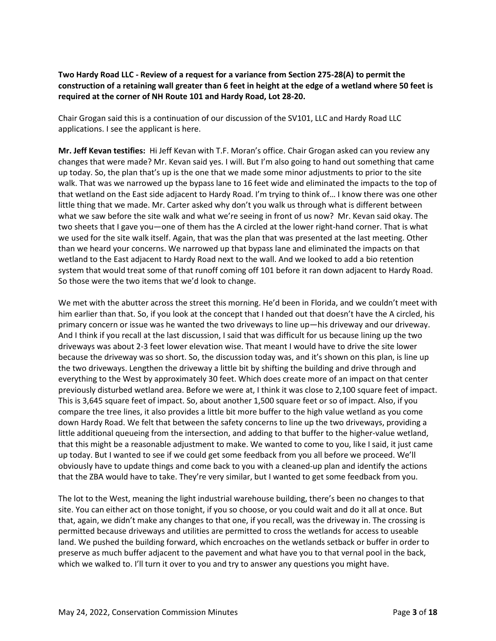## **Two Hardy Road LLC - Review of a request for a variance from Section 275-28(A) to permit the construction of a retaining wall greater than 6 feet in height at the edge of a wetland where 50 feet is required at the corner of NH Route 101 and Hardy Road, Lot 28-20.**

Chair Grogan said this is a continuation of our discussion of the SV101, LLC and Hardy Road LLC applications. I see the applicant is here.

**Mr. Jeff Kevan testifies:** Hi Jeff Kevan with T.F. Moran's office. Chair Grogan asked can you review any changes that were made? Mr. Kevan said yes. I will. But I'm also going to hand out something that came up today. So, the plan that's up is the one that we made some minor adjustments to prior to the site walk. That was we narrowed up the bypass lane to 16 feet wide and eliminated the impacts to the top of that wetland on the East side adjacent to Hardy Road. I'm trying to think of… I know there was one other little thing that we made. Mr. Carter asked why don't you walk us through what is different between what we saw before the site walk and what we're seeing in front of us now? Mr. Kevan said okay. The two sheets that I gave you—one of them has the A circled at the lower right-hand corner. That is what we used for the site walk itself. Again, that was the plan that was presented at the last meeting. Other than we heard your concerns. We narrowed up that bypass lane and eliminated the impacts on that wetland to the East adjacent to Hardy Road next to the wall. And we looked to add a bio retention system that would treat some of that runoff coming off 101 before it ran down adjacent to Hardy Road. So those were the two items that we'd look to change.

We met with the abutter across the street this morning. He'd been in Florida, and we couldn't meet with him earlier than that. So, if you look at the concept that I handed out that doesn't have the A circled, his primary concern or issue was he wanted the two driveways to line up—his driveway and our driveway. And I think if you recall at the last discussion, I said that was difficult for us because lining up the two driveways was about 2-3 feet lower elevation wise. That meant I would have to drive the site lower because the driveway was so short. So, the discussion today was, and it's shown on this plan, is line up the two driveways. Lengthen the driveway a little bit by shifting the building and drive through and everything to the West by approximately 30 feet. Which does create more of an impact on that center previously disturbed wetland area. Before we were at, I think it was close to 2,100 square feet of impact. This is 3,645 square feet of impact. So, about another 1,500 square feet or so of impact. Also, if you compare the tree lines, it also provides a little bit more buffer to the high value wetland as you come down Hardy Road. We felt that between the safety concerns to line up the two driveways, providing a little additional queueing from the intersection, and adding to that buffer to the higher-value wetland, that this might be a reasonable adjustment to make. We wanted to come to you, like I said, it just came up today. But I wanted to see if we could get some feedback from you all before we proceed. We'll obviously have to update things and come back to you with a cleaned-up plan and identify the actions that the ZBA would have to take. They're very similar, but I wanted to get some feedback from you.

The lot to the West, meaning the light industrial warehouse building, there's been no changes to that site. You can either act on those tonight, if you so choose, or you could wait and do it all at once. But that, again, we didn't make any changes to that one, if you recall, was the driveway in. The crossing is permitted because driveways and utilities are permitted to cross the wetlands for access to useable land. We pushed the building forward, which encroaches on the wetlands setback or buffer in order to preserve as much buffer adjacent to the pavement and what have you to that vernal pool in the back, which we walked to. I'll turn it over to you and try to answer any questions you might have.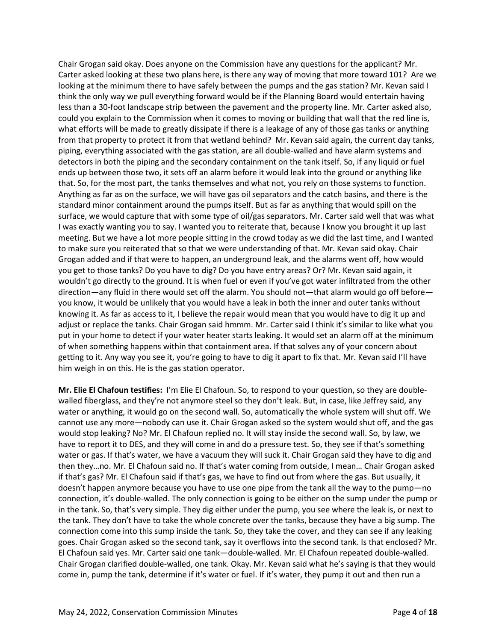Chair Grogan said okay. Does anyone on the Commission have any questions for the applicant? Mr. Carter asked looking at these two plans here, is there any way of moving that more toward 101? Are we looking at the minimum there to have safely between the pumps and the gas station? Mr. Kevan said I think the only way we pull everything forward would be if the Planning Board would entertain having less than a 30-foot landscape strip between the pavement and the property line. Mr. Carter asked also, could you explain to the Commission when it comes to moving or building that wall that the red line is, what efforts will be made to greatly dissipate if there is a leakage of any of those gas tanks or anything from that property to protect it from that wetland behind? Mr. Kevan said again, the current day tanks, piping, everything associated with the gas station, are all double-walled and have alarm systems and detectors in both the piping and the secondary containment on the tank itself. So, if any liquid or fuel ends up between those two, it sets off an alarm before it would leak into the ground or anything like that. So, for the most part, the tanks themselves and what not, you rely on those systems to function. Anything as far as on the surface, we will have gas oil separators and the catch basins, and there is the standard minor containment around the pumps itself. But as far as anything that would spill on the surface, we would capture that with some type of oil/gas separators. Mr. Carter said well that was what I was exactly wanting you to say. I wanted you to reiterate that, because I know you brought it up last meeting. But we have a lot more people sitting in the crowd today as we did the last time, and I wanted to make sure you reiterated that so that we were understanding of that. Mr. Kevan said okay. Chair Grogan added and if that were to happen, an underground leak, and the alarms went off, how would you get to those tanks? Do you have to dig? Do you have entry areas? Or? Mr. Kevan said again, it wouldn't go directly to the ground. It is when fuel or even if you've got water infiltrated from the other direction—any fluid in there would set off the alarm. You should not—that alarm would go off before you know, it would be unlikely that you would have a leak in both the inner and outer tanks without knowing it. As far as access to it, I believe the repair would mean that you would have to dig it up and adjust or replace the tanks. Chair Grogan said hmmm. Mr. Carter said I think it's similar to like what you put in your home to detect if your water heater starts leaking. It would set an alarm off at the minimum of when something happens within that containment area. If that solves any of your concern about getting to it. Any way you see it, you're going to have to dig it apart to fix that. Mr. Kevan said I'll have him weigh in on this. He is the gas station operator.

**Mr. Elie El Chafoun testifies:** I'm Elie El Chafoun. So, to respond to your question, so they are doublewalled fiberglass, and they're not anymore steel so they don't leak. But, in case, like Jeffrey said, any water or anything, it would go on the second wall. So, automatically the whole system will shut off. We cannot use any more—nobody can use it. Chair Grogan asked so the system would shut off, and the gas would stop leaking? No? Mr. El Chafoun replied no. It will stay inside the second wall. So, by law, we have to report it to DES, and they will come in and do a pressure test. So, they see if that's something water or gas. If that's water, we have a vacuum they will suck it. Chair Grogan said they have to dig and then they…no. Mr. El Chafoun said no. If that's water coming from outside, I mean… Chair Grogan asked if that's gas? Mr. El Chafoun said if that's gas, we have to find out from where the gas. But usually, it doesn't happen anymore because you have to use one pipe from the tank all the way to the pump—no connection, it's double-walled. The only connection is going to be either on the sump under the pump or in the tank. So, that's very simple. They dig either under the pump, you see where the leak is, or next to the tank. They don't have to take the whole concrete over the tanks, because they have a big sump. The connection come into this sump inside the tank. So, they take the cover, and they can see if any leaking goes. Chair Grogan asked so the second tank, say it overflows into the second tank. Is that enclosed? Mr. El Chafoun said yes. Mr. Carter said one tank—double-walled. Mr. El Chafoun repeated double-walled. Chair Grogan clarified double-walled, one tank. Okay. Mr. Kevan said what he's saying is that they would come in, pump the tank, determine if it's water or fuel. If it's water, they pump it out and then run a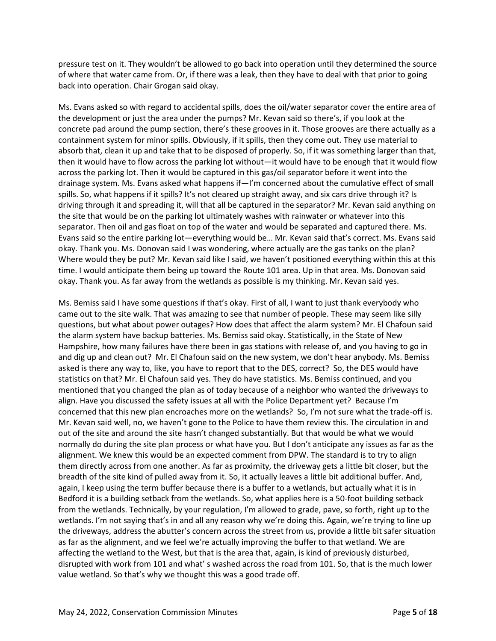pressure test on it. They wouldn't be allowed to go back into operation until they determined the source of where that water came from. Or, if there was a leak, then they have to deal with that prior to going back into operation. Chair Grogan said okay.

Ms. Evans asked so with regard to accidental spills, does the oil/water separator cover the entire area of the development or just the area under the pumps? Mr. Kevan said so there's, if you look at the concrete pad around the pump section, there's these grooves in it. Those grooves are there actually as a containment system for minor spills. Obviously, if it spills, then they come out. They use material to absorb that, clean it up and take that to be disposed of properly. So, if it was something larger than that, then it would have to flow across the parking lot without—it would have to be enough that it would flow across the parking lot. Then it would be captured in this gas/oil separator before it went into the drainage system. Ms. Evans asked what happens if—I'm concerned about the cumulative effect of small spills. So, what happens if it spills? It's not cleared up straight away, and six cars drive through it? Is driving through it and spreading it, will that all be captured in the separator? Mr. Kevan said anything on the site that would be on the parking lot ultimately washes with rainwater or whatever into this separator. Then oil and gas float on top of the water and would be separated and captured there. Ms. Evans said so the entire parking lot—everything would be… Mr. Kevan said that's correct. Ms. Evans said okay. Thank you. Ms. Donovan said I was wondering, where actually are the gas tanks on the plan? Where would they be put? Mr. Kevan said like I said, we haven't positioned everything within this at this time. I would anticipate them being up toward the Route 101 area. Up in that area. Ms. Donovan said okay. Thank you. As far away from the wetlands as possible is my thinking. Mr. Kevan said yes.

Ms. Bemiss said I have some questions if that's okay. First of all, I want to just thank everybody who came out to the site walk. That was amazing to see that number of people. These may seem like silly questions, but what about power outages? How does that affect the alarm system? Mr. El Chafoun said the alarm system have backup batteries. Ms. Bemiss said okay. Statistically, in the State of New Hampshire, how many failures have there been in gas stations with release of, and you having to go in and dig up and clean out? Mr. El Chafoun said on the new system, we don't hear anybody. Ms. Bemiss asked is there any way to, like, you have to report that to the DES, correct? So, the DES would have statistics on that? Mr. El Chafoun said yes. They do have statistics. Ms. Bemiss continued, and you mentioned that you changed the plan as of today because of a neighbor who wanted the driveways to align. Have you discussed the safety issues at all with the Police Department yet? Because I'm concerned that this new plan encroaches more on the wetlands? So, I'm not sure what the trade-off is. Mr. Kevan said well, no, we haven't gone to the Police to have them review this. The circulation in and out of the site and around the site hasn't changed substantially. But that would be what we would normally do during the site plan process or what have you. But I don't anticipate any issues as far as the alignment. We knew this would be an expected comment from DPW. The standard is to try to align them directly across from one another. As far as proximity, the driveway gets a little bit closer, but the breadth of the site kind of pulled away from it. So, it actually leaves a little bit additional buffer. And, again, I keep using the term buffer because there is a buffer to a wetlands, but actually what it is in Bedford it is a building setback from the wetlands. So, what applies here is a 50-foot building setback from the wetlands. Technically, by your regulation, I'm allowed to grade, pave, so forth, right up to the wetlands. I'm not saying that's in and all any reason why we're doing this. Again, we're trying to line up the driveways, address the abutter's concern across the street from us, provide a little bit safer situation as far as the alignment, and we feel we're actually improving the buffer to that wetland. We are affecting the wetland to the West, but that is the area that, again, is kind of previously disturbed, disrupted with work from 101 and what' s washed across the road from 101. So, that is the much lower value wetland. So that's why we thought this was a good trade off.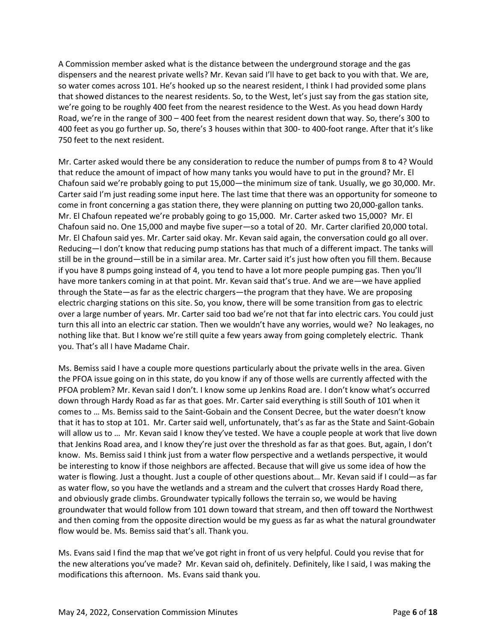A Commission member asked what is the distance between the underground storage and the gas dispensers and the nearest private wells? Mr. Kevan said I'll have to get back to you with that. We are, so water comes across 101. He's hooked up so the nearest resident, I think I had provided some plans that showed distances to the nearest residents. So, to the West, let's just say from the gas station site, we're going to be roughly 400 feet from the nearest residence to the West. As you head down Hardy Road, we're in the range of 300 – 400 feet from the nearest resident down that way. So, there's 300 to 400 feet as you go further up. So, there's 3 houses within that 300- to 400-foot range. After that it's like 750 feet to the next resident.

Mr. Carter asked would there be any consideration to reduce the number of pumps from 8 to 4? Would that reduce the amount of impact of how many tanks you would have to put in the ground? Mr. El Chafoun said we're probably going to put 15,000—the minimum size of tank. Usually, we go 30,000. Mr. Carter said I'm just reading some input here. The last time that there was an opportunity for someone to come in front concerning a gas station there, they were planning on putting two 20,000-gallon tanks. Mr. El Chafoun repeated we're probably going to go 15,000. Mr. Carter asked two 15,000? Mr. El Chafoun said no. One 15,000 and maybe five super—so a total of 20. Mr. Carter clarified 20,000 total. Mr. El Chafoun said yes. Mr. Carter said okay. Mr. Kevan said again, the conversation could go all over. Reducing—I don't know that reducing pump stations has that much of a different impact. The tanks will still be in the ground—still be in a similar area. Mr. Carter said it's just how often you fill them. Because if you have 8 pumps going instead of 4, you tend to have a lot more people pumping gas. Then you'll have more tankers coming in at that point. Mr. Kevan said that's true. And we are—we have applied through the State—as far as the electric chargers—the program that they have. We are proposing electric charging stations on this site. So, you know, there will be some transition from gas to electric over a large number of years. Mr. Carter said too bad we're not that far into electric cars. You could just turn this all into an electric car station. Then we wouldn't have any worries, would we? No leakages, no nothing like that. But I know we're still quite a few years away from going completely electric. Thank you. That's all I have Madame Chair.

Ms. Bemiss said I have a couple more questions particularly about the private wells in the area. Given the PFOA issue going on in this state, do you know if any of those wells are currently affected with the PFOA problem? Mr. Kevan said I don't. I know some up Jenkins Road are. I don't know what's occurred down through Hardy Road as far as that goes. Mr. Carter said everything is still South of 101 when it comes to … Ms. Bemiss said to the Saint-Gobain and the Consent Decree, but the water doesn't know that it has to stop at 101. Mr. Carter said well, unfortunately, that's as far as the State and Saint-Gobain will allow us to … Mr. Kevan said I know they've tested. We have a couple people at work that live down that Jenkins Road area, and I know they're just over the threshold as far as that goes. But, again, I don't know. Ms. Bemiss said I think just from a water flow perspective and a wetlands perspective, it would be interesting to know if those neighbors are affected. Because that will give us some idea of how the water is flowing. Just a thought. Just a couple of other questions about… Mr. Kevan said if I could—as far as water flow, so you have the wetlands and a stream and the culvert that crosses Hardy Road there, and obviously grade climbs. Groundwater typically follows the terrain so, we would be having groundwater that would follow from 101 down toward that stream, and then off toward the Northwest and then coming from the opposite direction would be my guess as far as what the natural groundwater flow would be. Ms. Bemiss said that's all. Thank you.

Ms. Evans said I find the map that we've got right in front of us very helpful. Could you revise that for the new alterations you've made? Mr. Kevan said oh, definitely. Definitely, like I said, I was making the modifications this afternoon. Ms. Evans said thank you.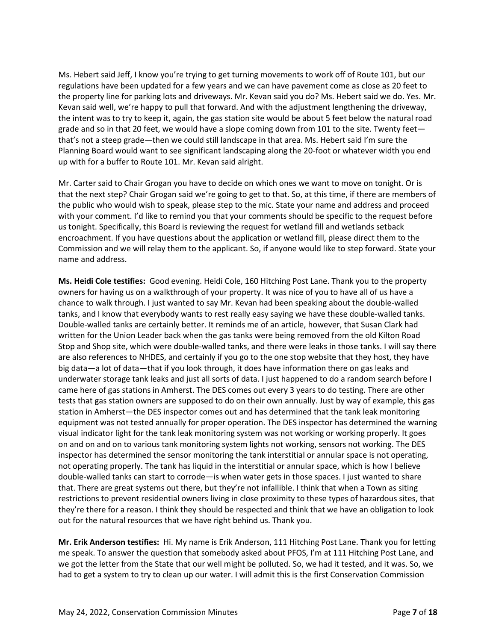Ms. Hebert said Jeff, I know you're trying to get turning movements to work off of Route 101, but our regulations have been updated for a few years and we can have pavement come as close as 20 feet to the property line for parking lots and driveways. Mr. Kevan said you do? Ms. Hebert said we do. Yes. Mr. Kevan said well, we're happy to pull that forward. And with the adjustment lengthening the driveway, the intent was to try to keep it, again, the gas station site would be about 5 feet below the natural road grade and so in that 20 feet, we would have a slope coming down from 101 to the site. Twenty feet that's not a steep grade—then we could still landscape in that area. Ms. Hebert said I'm sure the Planning Board would want to see significant landscaping along the 20-foot or whatever width you end up with for a buffer to Route 101. Mr. Kevan said alright.

Mr. Carter said to Chair Grogan you have to decide on which ones we want to move on tonight. Or is that the next step? Chair Grogan said we're going to get to that. So, at this time, if there are members of the public who would wish to speak, please step to the mic. State your name and address and proceed with your comment. I'd like to remind you that your comments should be specific to the request before us tonight. Specifically, this Board is reviewing the request for wetland fill and wetlands setback encroachment. If you have questions about the application or wetland fill, please direct them to the Commission and we will relay them to the applicant. So, if anyone would like to step forward. State your name and address.

**Ms. Heidi Cole testifies:** Good evening. Heidi Cole, 160 Hitching Post Lane. Thank you to the property owners for having us on a walkthrough of your property. It was nice of you to have all of us have a chance to walk through. I just wanted to say Mr. Kevan had been speaking about the double-walled tanks, and I know that everybody wants to rest really easy saying we have these double-walled tanks. Double-walled tanks are certainly better. It reminds me of an article, however, that Susan Clark had written for the Union Leader back when the gas tanks were being removed from the old Kilton Road Stop and Shop site, which were double-walled tanks, and there were leaks in those tanks. I will say there are also references to NHDES, and certainly if you go to the one stop website that they host, they have big data—a lot of data—that if you look through, it does have information there on gas leaks and underwater storage tank leaks and just all sorts of data. I just happened to do a random search before I came here of gas stations in Amherst. The DES comes out every 3 years to do testing. There are other tests that gas station owners are supposed to do on their own annually. Just by way of example, this gas station in Amherst—the DES inspector comes out and has determined that the tank leak monitoring equipment was not tested annually for proper operation. The DES inspector has determined the warning visual indicator light for the tank leak monitoring system was not working or working properly. It goes on and on and on to various tank monitoring system lights not working, sensors not working. The DES inspector has determined the sensor monitoring the tank interstitial or annular space is not operating, not operating properly. The tank has liquid in the interstitial or annular space, which is how I believe double-walled tanks can start to corrode—is when water gets in those spaces. I just wanted to share that. There are great systems out there, but they're not infallible. I think that when a Town as siting restrictions to prevent residential owners living in close proximity to these types of hazardous sites, that they're there for a reason. I think they should be respected and think that we have an obligation to look out for the natural resources that we have right behind us. Thank you.

**Mr. Erik Anderson testifies:** Hi. My name is Erik Anderson, 111 Hitching Post Lane. Thank you for letting me speak. To answer the question that somebody asked about PFOS, I'm at 111 Hitching Post Lane, and we got the letter from the State that our well might be polluted. So, we had it tested, and it was. So, we had to get a system to try to clean up our water. I will admit this is the first Conservation Commission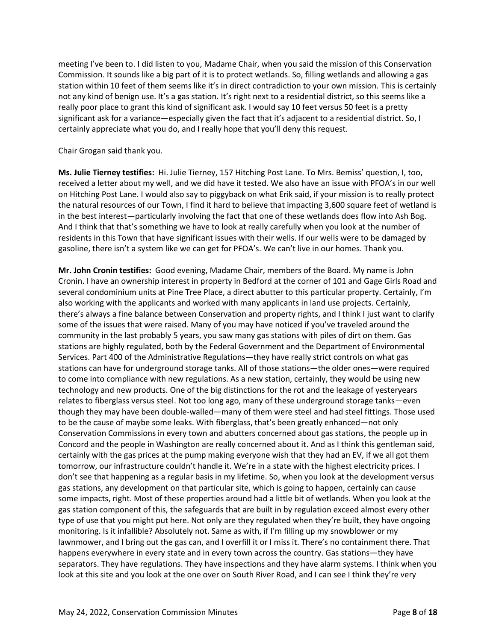meeting I've been to. I did listen to you, Madame Chair, when you said the mission of this Conservation Commission. It sounds like a big part of it is to protect wetlands. So, filling wetlands and allowing a gas station within 10 feet of them seems like it's in direct contradiction to your own mission. This is certainly not any kind of benign use. It's a gas station. It's right next to a residential district, so this seems like a really poor place to grant this kind of significant ask. I would say 10 feet versus 50 feet is a pretty significant ask for a variance—especially given the fact that it's adjacent to a residential district. So, I certainly appreciate what you do, and I really hope that you'll deny this request.

Chair Grogan said thank you.

**Ms. Julie Tierney testifies:** Hi. Julie Tierney, 157 Hitching Post Lane. To Mrs. Bemiss' question, I, too, received a letter about my well, and we did have it tested. We also have an issue with PFOA's in our well on Hitching Post Lane. I would also say to piggyback on what Erik said, if your mission is to really protect the natural resources of our Town, I find it hard to believe that impacting 3,600 square feet of wetland is in the best interest—particularly involving the fact that one of these wetlands does flow into Ash Bog. And I think that that's something we have to look at really carefully when you look at the number of residents in this Town that have significant issues with their wells. If our wells were to be damaged by gasoline, there isn't a system like we can get for PFOA's. We can't live in our homes. Thank you.

**Mr. John Cronin testifies:** Good evening, Madame Chair, members of the Board. My name is John Cronin. I have an ownership interest in property in Bedford at the corner of 101 and Gage Girls Road and several condominium units at Pine Tree Place, a direct abutter to this particular property. Certainly, I'm also working with the applicants and worked with many applicants in land use projects. Certainly, there's always a fine balance between Conservation and property rights, and I think I just want to clarify some of the issues that were raised. Many of you may have noticed if you've traveled around the community in the last probably 5 years, you saw many gas stations with piles of dirt on them. Gas stations are highly regulated, both by the Federal Government and the Department of Environmental Services. Part 400 of the Administrative Regulations—they have really strict controls on what gas stations can have for underground storage tanks. All of those stations—the older ones—were required to come into compliance with new regulations. As a new station, certainly, they would be using new technology and new products. One of the big distinctions for the rot and the leakage of yesteryears relates to fiberglass versus steel. Not too long ago, many of these underground storage tanks—even though they may have been double-walled—many of them were steel and had steel fittings. Those used to be the cause of maybe some leaks. With fiberglass, that's been greatly enhanced—not only Conservation Commissions in every town and abutters concerned about gas stations, the people up in Concord and the people in Washington are really concerned about it. And as I think this gentleman said, certainly with the gas prices at the pump making everyone wish that they had an EV, if we all got them tomorrow, our infrastructure couldn't handle it. We're in a state with the highest electricity prices. I don't see that happening as a regular basis in my lifetime. So, when you look at the development versus gas stations, any development on that particular site, which is going to happen, certainly can cause some impacts, right. Most of these properties around had a little bit of wetlands. When you look at the gas station component of this, the safeguards that are built in by regulation exceed almost every other type of use that you might put here. Not only are they regulated when they're built, they have ongoing monitoring. Is it infallible? Absolutely not. Same as with, if I'm filling up my snowblower or my lawnmower, and I bring out the gas can, and I overfill it or I miss it. There's no containment there. That happens everywhere in every state and in every town across the country. Gas stations—they have separators. They have regulations. They have inspections and they have alarm systems. I think when you look at this site and you look at the one over on South River Road, and I can see I think they're very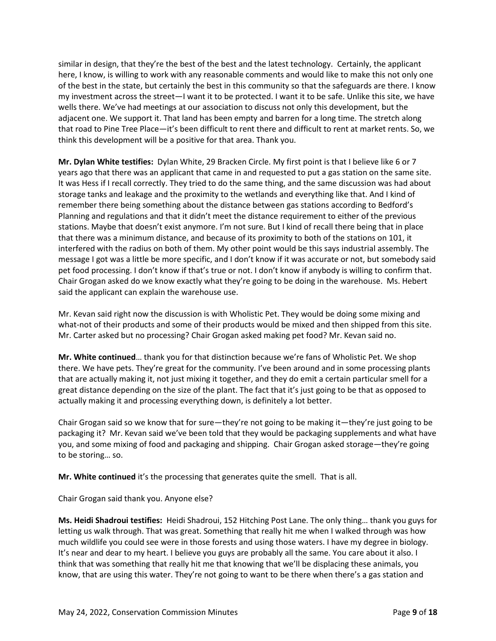similar in design, that they're the best of the best and the latest technology. Certainly, the applicant here, I know, is willing to work with any reasonable comments and would like to make this not only one of the best in the state, but certainly the best in this community so that the safeguards are there. I know my investment across the street—I want it to be protected. I want it to be safe. Unlike this site, we have wells there. We've had meetings at our association to discuss not only this development, but the adjacent one. We support it. That land has been empty and barren for a long time. The stretch along that road to Pine Tree Place—it's been difficult to rent there and difficult to rent at market rents. So, we think this development will be a positive for that area. Thank you.

**Mr. Dylan White testifies:** Dylan White, 29 Bracken Circle. My first point is that I believe like 6 or 7 years ago that there was an applicant that came in and requested to put a gas station on the same site. It was Hess if I recall correctly. They tried to do the same thing, and the same discussion was had about storage tanks and leakage and the proximity to the wetlands and everything like that. And I kind of remember there being something about the distance between gas stations according to Bedford's Planning and regulations and that it didn't meet the distance requirement to either of the previous stations. Maybe that doesn't exist anymore. I'm not sure. But I kind of recall there being that in place that there was a minimum distance, and because of its proximity to both of the stations on 101, it interfered with the radius on both of them. My other point would be this says industrial assembly. The message I got was a little be more specific, and I don't know if it was accurate or not, but somebody said pet food processing. I don't know if that's true or not. I don't know if anybody is willing to confirm that. Chair Grogan asked do we know exactly what they're going to be doing in the warehouse. Ms. Hebert said the applicant can explain the warehouse use.

Mr. Kevan said right now the discussion is with Wholistic Pet. They would be doing some mixing and what-not of their products and some of their products would be mixed and then shipped from this site. Mr. Carter asked but no processing? Chair Grogan asked making pet food? Mr. Kevan said no.

**Mr. White continued**… thank you for that distinction because we're fans of Wholistic Pet. We shop there. We have pets. They're great for the community. I've been around and in some processing plants that are actually making it, not just mixing it together, and they do emit a certain particular smell for a great distance depending on the size of the plant. The fact that it's just going to be that as opposed to actually making it and processing everything down, is definitely a lot better.

Chair Grogan said so we know that for sure—they're not going to be making it—they're just going to be packaging it? Mr. Kevan said we've been told that they would be packaging supplements and what have you, and some mixing of food and packaging and shipping. Chair Grogan asked storage—they're going to be storing… so.

**Mr. White continued** it's the processing that generates quite the smell. That is all.

Chair Grogan said thank you. Anyone else?

**Ms. Heidi Shadroui testifies:** Heidi Shadroui, 152 Hitching Post Lane. The only thing… thank you guys for letting us walk through. That was great. Something that really hit me when I walked through was how much wildlife you could see were in those forests and using those waters. I have my degree in biology. It's near and dear to my heart. I believe you guys are probably all the same. You care about it also. I think that was something that really hit me that knowing that we'll be displacing these animals, you know, that are using this water. They're not going to want to be there when there's a gas station and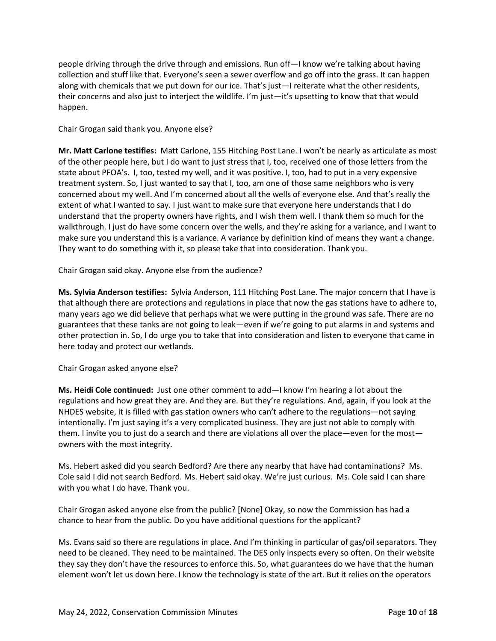people driving through the drive through and emissions. Run off—I know we're talking about having collection and stuff like that. Everyone's seen a sewer overflow and go off into the grass. It can happen along with chemicals that we put down for our ice. That's just—I reiterate what the other residents, their concerns and also just to interject the wildlife. I'm just—it's upsetting to know that that would happen.

Chair Grogan said thank you. Anyone else?

**Mr. Matt Carlone testifies:** Matt Carlone, 155 Hitching Post Lane. I won't be nearly as articulate as most of the other people here, but I do want to just stress that I, too, received one of those letters from the state about PFOA's. I, too, tested my well, and it was positive. I, too, had to put in a very expensive treatment system. So, I just wanted to say that I, too, am one of those same neighbors who is very concerned about my well. And I'm concerned about all the wells of everyone else. And that's really the extent of what I wanted to say. I just want to make sure that everyone here understands that I do understand that the property owners have rights, and I wish them well. I thank them so much for the walkthrough. I just do have some concern over the wells, and they're asking for a variance, and I want to make sure you understand this is a variance. A variance by definition kind of means they want a change. They want to do something with it, so please take that into consideration. Thank you.

Chair Grogan said okay. Anyone else from the audience?

**Ms. Sylvia Anderson testifies:** Sylvia Anderson, 111 Hitching Post Lane. The major concern that I have is that although there are protections and regulations in place that now the gas stations have to adhere to, many years ago we did believe that perhaps what we were putting in the ground was safe. There are no guarantees that these tanks are not going to leak—even if we're going to put alarms in and systems and other protection in. So, I do urge you to take that into consideration and listen to everyone that came in here today and protect our wetlands.

Chair Grogan asked anyone else?

**Ms. Heidi Cole continued:** Just one other comment to add—I know I'm hearing a lot about the regulations and how great they are. And they are. But they're regulations. And, again, if you look at the NHDES website, it is filled with gas station owners who can't adhere to the regulations—not saying intentionally. I'm just saying it's a very complicated business. They are just not able to comply with them. I invite you to just do a search and there are violations all over the place—even for the most owners with the most integrity.

Ms. Hebert asked did you search Bedford? Are there any nearby that have had contaminations? Ms. Cole said I did not search Bedford. Ms. Hebert said okay. We're just curious. Ms. Cole said I can share with you what I do have. Thank you.

Chair Grogan asked anyone else from the public? [None] Okay, so now the Commission has had a chance to hear from the public. Do you have additional questions for the applicant?

Ms. Evans said so there are regulations in place. And I'm thinking in particular of gas/oil separators. They need to be cleaned. They need to be maintained. The DES only inspects every so often. On their website they say they don't have the resources to enforce this. So, what guarantees do we have that the human element won't let us down here. I know the technology is state of the art. But it relies on the operators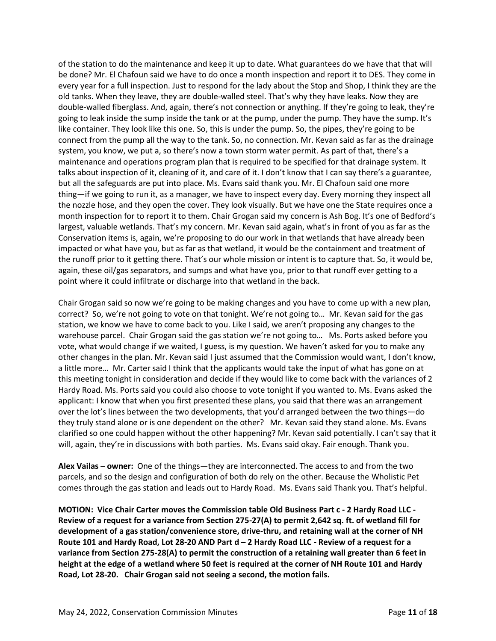of the station to do the maintenance and keep it up to date. What guarantees do we have that that will be done? Mr. El Chafoun said we have to do once a month inspection and report it to DES. They come in every year for a full inspection. Just to respond for the lady about the Stop and Shop, I think they are the old tanks. When they leave, they are double-walled steel. That's why they have leaks. Now they are double-walled fiberglass. And, again, there's not connection or anything. If they're going to leak, they're going to leak inside the sump inside the tank or at the pump, under the pump. They have the sump. It's like container. They look like this one. So, this is under the pump. So, the pipes, they're going to be connect from the pump all the way to the tank. So, no connection. Mr. Kevan said as far as the drainage system, you know, we put a, so there's now a town storm water permit. As part of that, there's a maintenance and operations program plan that is required to be specified for that drainage system. It talks about inspection of it, cleaning of it, and care of it. I don't know that I can say there's a guarantee, but all the safeguards are put into place. Ms. Evans said thank you. Mr. El Chafoun said one more thing—if we going to run it, as a manager, we have to inspect every day. Every morning they inspect all the nozzle hose, and they open the cover. They look visually. But we have one the State requires once a month inspection for to report it to them. Chair Grogan said my concern is Ash Bog. It's one of Bedford's largest, valuable wetlands. That's my concern. Mr. Kevan said again, what's in front of you as far as the Conservation items is, again, we're proposing to do our work in that wetlands that have already been impacted or what have you, but as far as that wetland, it would be the containment and treatment of the runoff prior to it getting there. That's our whole mission or intent is to capture that. So, it would be, again, these oil/gas separators, and sumps and what have you, prior to that runoff ever getting to a point where it could infiltrate or discharge into that wetland in the back.

Chair Grogan said so now we're going to be making changes and you have to come up with a new plan, correct? So, we're not going to vote on that tonight. We're not going to… Mr. Kevan said for the gas station, we know we have to come back to you. Like I said, we aren't proposing any changes to the warehouse parcel. Chair Grogan said the gas station we're not going to… Ms. Ports asked before you vote, what would change if we waited, I guess, is my question. We haven't asked for you to make any other changes in the plan. Mr. Kevan said I just assumed that the Commission would want, I don't know, a little more… Mr. Carter said I think that the applicants would take the input of what has gone on at this meeting tonight in consideration and decide if they would like to come back with the variances of 2 Hardy Road. Ms. Ports said you could also choose to vote tonight if you wanted to. Ms. Evans asked the applicant: I know that when you first presented these plans, you said that there was an arrangement over the lot's lines between the two developments, that you'd arranged between the two things—do they truly stand alone or is one dependent on the other? Mr. Kevan said they stand alone. Ms. Evans clarified so one could happen without the other happening? Mr. Kevan said potentially. I can't say that it will, again, they're in discussions with both parties. Ms. Evans said okay. Fair enough. Thank you.

**Alex Vailas – owner:** One of the things—they are interconnected. The access to and from the two parcels, and so the design and configuration of both do rely on the other. Because the Wholistic Pet comes through the gas station and leads out to Hardy Road. Ms. Evans said Thank you. That's helpful.

**MOTION: Vice Chair Carter moves the Commission table Old Business Part c - 2 Hardy Road LLC - Review of a request for a variance from Section 275-27(A) to permit 2,642 sq. ft. of wetland fill for development of a gas station/convenience store, drive-thru, and retaining wall at the corner of NH Route 101 and Hardy Road, Lot 28-20 AND Part d – 2 Hardy Road LLC - Review of a request for a variance from Section 275-28(A) to permit the construction of a retaining wall greater than 6 feet in height at the edge of a wetland where 50 feet is required at the corner of NH Route 101 and Hardy Road, Lot 28-20. Chair Grogan said not seeing a second, the motion fails.**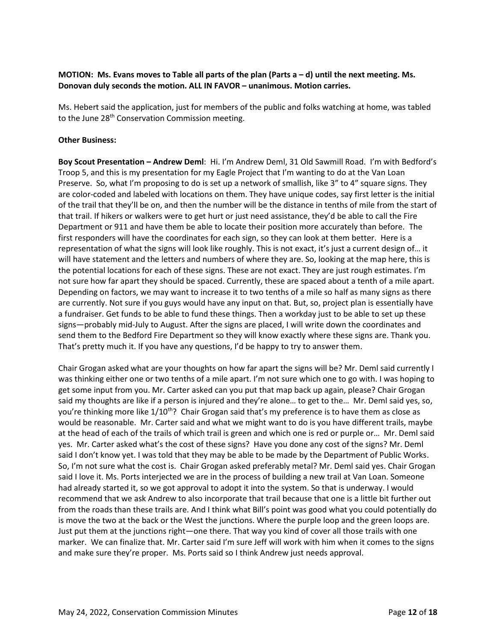### **MOTION: Ms. Evans moves to Table all parts of the plan (Parts a – d) until the next meeting. Ms. Donovan duly seconds the motion. ALL IN FAVOR – unanimous. Motion carries.**

Ms. Hebert said the application, just for members of the public and folks watching at home, was tabled to the June 28<sup>th</sup> Conservation Commission meeting.

#### **Other Business:**

**Boy Scout Presentation – Andrew Deml**: Hi. I'm Andrew Deml, 31 Old Sawmill Road. I'm with Bedford's Troop 5, and this is my presentation for my Eagle Project that I'm wanting to do at the Van Loan Preserve. So, what I'm proposing to do is set up a network of smallish, like 3" to 4" square signs. They are color-coded and labeled with locations on them. They have unique codes, say first letter is the initial of the trail that they'll be on, and then the number will be the distance in tenths of mile from the start of that trail. If hikers or walkers were to get hurt or just need assistance, they'd be able to call the Fire Department or 911 and have them be able to locate their position more accurately than before. The first responders will have the coordinates for each sign, so they can look at them better. Here is a representation of what the signs will look like roughly. This is not exact, it's just a current design of… it will have statement and the letters and numbers of where they are. So, looking at the map here, this is the potential locations for each of these signs. These are not exact. They are just rough estimates. I'm not sure how far apart they should be spaced. Currently, these are spaced about a tenth of a mile apart. Depending on factors, we may want to increase it to two tenths of a mile so half as many signs as there are currently. Not sure if you guys would have any input on that. But, so, project plan is essentially have a fundraiser. Get funds to be able to fund these things. Then a workday just to be able to set up these signs—probably mid-July to August. After the signs are placed, I will write down the coordinates and send them to the Bedford Fire Department so they will know exactly where these signs are. Thank you. That's pretty much it. If you have any questions, I'd be happy to try to answer them.

Chair Grogan asked what are your thoughts on how far apart the signs will be? Mr. Deml said currently I was thinking either one or two tenths of a mile apart. I'm not sure which one to go with. I was hoping to get some input from you. Mr. Carter asked can you put that map back up again, please? Chair Grogan said my thoughts are like if a person is injured and they're alone… to get to the… Mr. Deml said yes, so, you're thinking more like 1/10<sup>th</sup>? Chair Grogan said that's my preference is to have them as close as would be reasonable. Mr. Carter said and what we might want to do is you have different trails, maybe at the head of each of the trails of which trail is green and which one is red or purple or… Mr. Deml said yes. Mr. Carter asked what's the cost of these signs? Have you done any cost of the signs? Mr. Deml said I don't know yet. I was told that they may be able to be made by the Department of Public Works. So, I'm not sure what the cost is. Chair Grogan asked preferably metal? Mr. Deml said yes. Chair Grogan said I love it. Ms. Ports interjected we are in the process of building a new trail at Van Loan. Someone had already started it, so we got approval to adopt it into the system. So that is underway. I would recommend that we ask Andrew to also incorporate that trail because that one is a little bit further out from the roads than these trails are. And I think what Bill's point was good what you could potentially do is move the two at the back or the West the junctions. Where the purple loop and the green loops are. Just put them at the junctions right—one there. That way you kind of cover all those trails with one marker. We can finalize that. Mr. Carter said I'm sure Jeff will work with him when it comes to the signs and make sure they're proper. Ms. Ports said so I think Andrew just needs approval.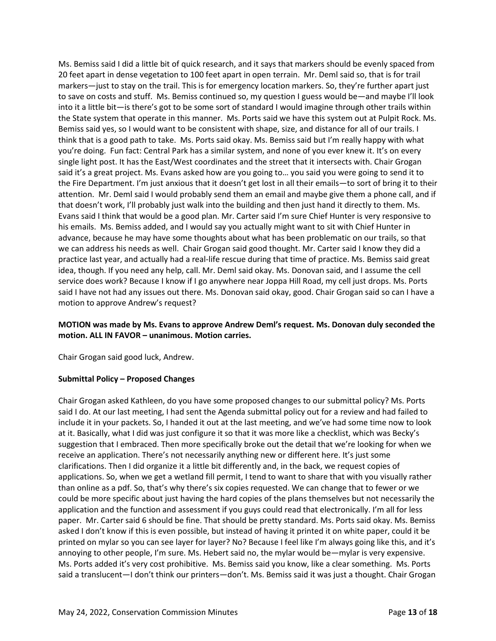Ms. Bemiss said I did a little bit of quick research, and it says that markers should be evenly spaced from 20 feet apart in dense vegetation to 100 feet apart in open terrain. Mr. Deml said so, that is for trail markers—just to stay on the trail. This is for emergency location markers. So, they're further apart just to save on costs and stuff. Ms. Bemiss continued so, my question I guess would be—and maybe I'll look into it a little bit—is there's got to be some sort of standard I would imagine through other trails within the State system that operate in this manner. Ms. Ports said we have this system out at Pulpit Rock. Ms. Bemiss said yes, so I would want to be consistent with shape, size, and distance for all of our trails. I think that is a good path to take. Ms. Ports said okay. Ms. Bemiss said but I'm really happy with what you're doing. Fun fact: Central Park has a similar system, and none of you ever knew it. It's on every single light post. It has the East/West coordinates and the street that it intersects with. Chair Grogan said it's a great project. Ms. Evans asked how are you going to… you said you were going to send it to the Fire Department. I'm just anxious that it doesn't get lost in all their emails—to sort of bring it to their attention. Mr. Deml said I would probably send them an email and maybe give them a phone call, and if that doesn't work, I'll probably just walk into the building and then just hand it directly to them. Ms. Evans said I think that would be a good plan. Mr. Carter said I'm sure Chief Hunter is very responsive to his emails. Ms. Bemiss added, and I would say you actually might want to sit with Chief Hunter in advance, because he may have some thoughts about what has been problematic on our trails, so that we can address his needs as well. Chair Grogan said good thought. Mr. Carter said I know they did a practice last year, and actually had a real-life rescue during that time of practice. Ms. Bemiss said great idea, though. If you need any help, call. Mr. Deml said okay. Ms. Donovan said, and I assume the cell service does work? Because I know if I go anywhere near Joppa Hill Road, my cell just drops. Ms. Ports said I have not had any issues out there. Ms. Donovan said okay, good. Chair Grogan said so can I have a motion to approve Andrew's request?

## **MOTION was made by Ms. Evans to approve Andrew Deml's request. Ms. Donovan duly seconded the motion. ALL IN FAVOR – unanimous. Motion carries.**

Chair Grogan said good luck, Andrew.

#### **Submittal Policy – Proposed Changes**

Chair Grogan asked Kathleen, do you have some proposed changes to our submittal policy? Ms. Ports said I do. At our last meeting, I had sent the Agenda submittal policy out for a review and had failed to include it in your packets. So, I handed it out at the last meeting, and we've had some time now to look at it. Basically, what I did was just configure it so that it was more like a checklist, which was Becky's suggestion that I embraced. Then more specifically broke out the detail that we're looking for when we receive an application. There's not necessarily anything new or different here. It's just some clarifications. Then I did organize it a little bit differently and, in the back, we request copies of applications. So, when we get a wetland fill permit, I tend to want to share that with you visually rather than online as a pdf. So, that's why there's six copies requested. We can change that to fewer or we could be more specific about just having the hard copies of the plans themselves but not necessarily the application and the function and assessment if you guys could read that electronically. I'm all for less paper. Mr. Carter said 6 should be fine. That should be pretty standard. Ms. Ports said okay. Ms. Bemiss asked I don't know if this is even possible, but instead of having it printed it on white paper, could it be printed on mylar so you can see layer for layer? No? Because I feel like I'm always going like this, and it's annoying to other people, I'm sure. Ms. Hebert said no, the mylar would be—mylar is very expensive. Ms. Ports added it's very cost prohibitive. Ms. Bemiss said you know, like a clear something. Ms. Ports said a translucent—I don't think our printers—don't. Ms. Bemiss said it was just a thought. Chair Grogan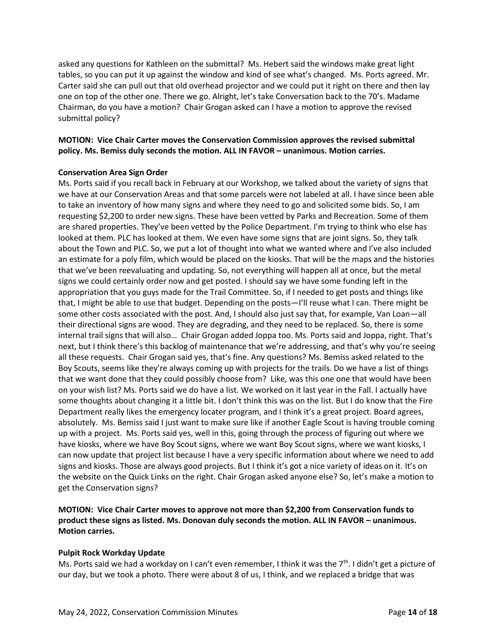asked any questions for Kathleen on the submittal? Ms. Hebert said the windows make great light tables, so you can put it up against the window and kind of see what's changed. Ms. Ports agreed. Mr. Carter said she can pull out that old overhead projector and we could put it right on there and then lay one on top of the other one. There we go. Alright, let's take Conversation back to the 70's. Madame Chairman, do you have a motion? Chair Grogan asked can I have a motion to approve the revised submittal policy?

## **MOTION: Vice Chair Carter moves the Conservation Commission approves the revised submittal policy. Ms. Bemiss duly seconds the motion. ALL IN FAVOR – unanimous. Motion carries.**

#### **Conservation Area Sign Order**

Ms. Ports said if you recall back in February at our Workshop, we talked about the variety of signs that we have at our Conservation Areas and that some parcels were not labeled at all. I have since been able to take an inventory of how many signs and where they need to go and solicited some bids. So, I am requesting \$2,200 to order new signs. These have been vetted by Parks and Recreation. Some of them are shared properties. They've been vetted by the Police Department. I'm trying to think who else has looked at them. PLC has looked at them. We even have some signs that are joint signs. So, they talk about the Town and PLC. So, we put a lot of thought into what we wanted where and I've also included an estimate for a poly film, which would be placed on the kiosks. That will be the maps and the histories that we've been reevaluating and updating. So, not everything will happen all at once, but the metal signs we could certainly order now and get posted. I should say we have some funding left in the appropriation that you guys made for the Trail Committee. So, if I needed to get posts and things like that, I might be able to use that budget. Depending on the posts—I'll reuse what I can. There might be some other costs associated with the post. And, I should also just say that, for example, Van Loan—all their directional signs are wood. They are degrading, and they need to be replaced. So, there is some internal trail signs that will also… Chair Grogan added Joppa too. Ms. Ports said and Joppa, right. That's next, but I think there's this backlog of maintenance that we're addressing, and that's why you're seeing all these requests. Chair Grogan said yes, that's fine. Any questions? Ms. Bemiss asked related to the Boy Scouts, seems like they're always coming up with projects for the trails. Do we have a list of things that we want done that they could possibly choose from? Like, was this one one that would have been on your wish list? Ms. Ports said we do have a list. We worked on it last year in the Fall. I actually have some thoughts about changing it a little bit. I don't think this was on the list. But I do know that the Fire Department really likes the emergency locater program, and I think it's a great project. Board agrees, absolutely. Ms. Bemiss said I just want to make sure like if another Eagle Scout is having trouble coming up with a project. Ms. Ports said yes, well in this, going through the process of figuring out where we have kiosks, where we have Boy Scout signs, where we want Boy Scout signs, where we want kiosks, I can now update that project list because I have a very specific information about where we need to add signs and kiosks. Those are always good projects. But I think it's got a nice variety of ideas on it. It's on the website on the Quick Links on the right. Chair Grogan asked anyone else? So, let's make a motion to get the Conservation signs?

## **MOTION: Vice Chair Carter moves to approve not more than \$2,200 from Conservation funds to product these signs as listed. Ms. Donovan duly seconds the motion. ALL IN FAVOR – unanimous. Motion carries.**

#### **Pulpit Rock Workday Update**

Ms. Ports said we had a workday on I can't even remember, I think it was the  $7<sup>th</sup>$ . I didn't get a picture of our day, but we took a photo. There were about 8 of us, I think, and we replaced a bridge that was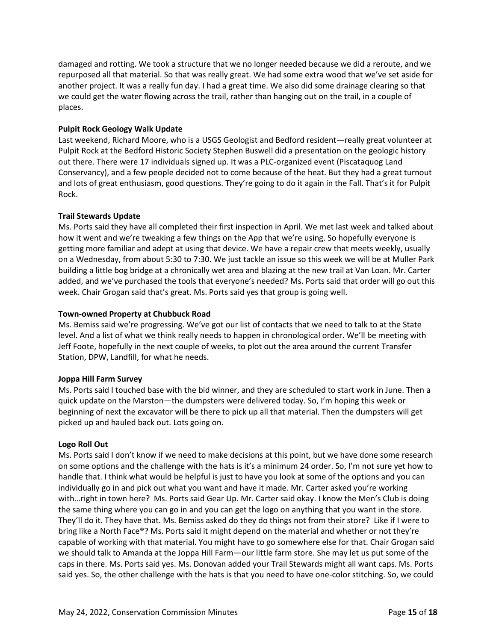damaged and rotting. We took a structure that we no longer needed because we did a reroute, and we repurposed all that material. So that was really great. We had some extra wood that we've set aside for another project. It was a really fun day. I had a great time. We also did some drainage clearing so that we could get the water flowing across the trail, rather than hanging out on the trail, in a couple of places.

### **Pulpit Rock Geology Walk Update**

Last weekend, Richard Moore, who is a USGS Geologist and Bedford resident—really great volunteer at Pulpit Rock at the Bedford Historic Society Stephen Buswell did a presentation on the geologic history out there. There were 17 individuals signed up. It was a PLC-organized event (Piscataquog Land Conservancy), and a few people decided not to come because of the heat. But they had a great turnout and lots of great enthusiasm, good questions. They're going to do it again in the Fall. That's it for Pulpit Rock.

## **Trail Stewards Update**

Ms. Ports said they have all completed their first inspection in April. We met last week and talked about how it went and we're tweaking a few things on the App that we're using. So hopefully everyone is getting more familiar and adept at using that device. We have a repair crew that meets weekly, usually on a Wednesday, from about 5:30 to 7:30. We just tackle an issue so this week we will be at Muller Park building a little bog bridge at a chronically wet area and blazing at the new trail at Van Loan. Mr. Carter added, and we've purchased the tools that everyone's needed? Ms. Ports said that order will go out this week. Chair Grogan said that's great. Ms. Ports said yes that group is going well.

#### **Town-owned Property at Chubbuck Road**

Ms. Bemiss said we're progressing. We've got our list of contacts that we need to talk to at the State level. And a list of what we think really needs to happen in chronological order. We'll be meeting with Jeff Foote, hopefully in the next couple of weeks, to plot out the area around the current Transfer Station, DPW, Landfill, for what he needs.

#### **Joppa Hill Farm Survey**

Ms. Ports said I touched base with the bid winner, and they are scheduled to start work in June. Then a quick update on the Marston—the dumpsters were delivered today. So, I'm hoping this week or beginning of next the excavator will be there to pick up all that material. Then the dumpsters will get picked up and hauled back out. Lots going on.

#### **Logo Roll Out**

Ms. Ports said I don't know if we need to make decisions at this point, but we have done some research on some options and the challenge with the hats is it's a minimum 24 order. So, I'm not sure yet how to handle that. I think what would be helpful is just to have you look at some of the options and you can individually go in and pick out what you want and have it made. Mr. Carter asked you're working with…right in town here? Ms. Ports said Gear Up. Mr. Carter said okay. I know the Men's Club is doing the same thing where you can go in and you can get the logo on anything that you want in the store. They'll do it. They have that. Ms. Bemiss asked do they do things not from their store? Like if I were to bring like a North Face®️? Ms. Ports said it might depend on the material and whether or not they're capable of working with that material. You might have to go somewhere else for that. Chair Grogan said we should talk to Amanda at the Joppa Hill Farm—our little farm store. She may let us put some of the caps in there. Ms. Ports said yes. Ms. Donovan added your Trail Stewards might all want caps. Ms. Ports said yes. So, the other challenge with the hats is that you need to have one-color stitching. So, we could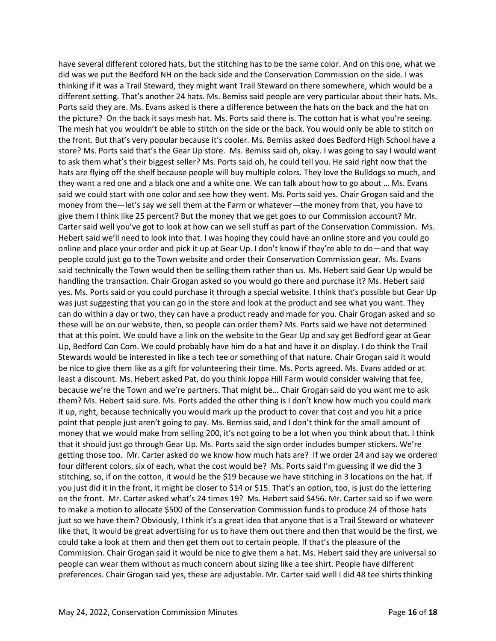have several different colored hats, but the stitching has to be the same color. And on this one, what we did was we put the Bedford NH on the back side and the Conservation Commission on the side. I was thinking if it was a Trail Steward, they might want Trail Steward on there somewhere, which would be a different setting. That's another 24 hats. Ms. Bemiss said people are very particular about their hats. Ms. Ports said they are. Ms. Evans asked is there a difference between the hats on the back and the hat on the picture? On the back it says mesh hat. Ms. Ports said there is. The cotton hat is what you're seeing. The mesh hat you wouldn't be able to stitch on the side or the back. You would only be able to stitch on the front. But that's very popular because it's cooler. Ms. Bemiss asked does Bedford High School have a store? Ms. Ports said that's the Gear Up store. Ms. Bemiss said oh, okay. I was going to say I would want to ask them what's their biggest seller? Ms. Ports said oh, he could tell you. He said right now that the hats are flying off the shelf because people will buy multiple colors. They love the Bulldogs so much, and they want a red one and a black one and a white one. We can talk about how to go about … Ms. Evans said we could start with one color and see how they went. Ms. Ports said yes. Chair Grogan said and the money from the—let's say we sell them at the Farm or whatever—the money from that, you have to give them I think like 25 percent? But the money that we get goes to our Commission account? Mr. Carter said well you've got to look at how can we sell stuff as part of the Conservation Commission. Ms. Hebert said we'll need to look into that. I was hoping they could have an online store and you could go online and place your order and pick it up at Gear Up. I don't know if they're able to do—and that way people could just go to the Town website and order their Conservation Commission gear. Ms. Evans said technically the Town would then be selling them rather than us. Ms. Hebert said Gear Up would be handling the transaction. Chair Grogan asked so you would go there and purchase it? Ms. Hebert said yes. Ms. Ports said or you could purchase it through a special website. I think that's possible but Gear Up was just suggesting that you can go in the store and look at the product and see what you want. They can do within a day or two, they can have a product ready and made for you. Chair Grogan asked and so these will be on our website, then, so people can order them? Ms. Ports said we have not determined that at this point. We could have a link on the website to the Gear Up and say get Bedford gear at Gear Up, Bedford Con Com. We could probably have him do a hat and have it on display. I do think the Trail Stewards would be interested in like a tech tee or something of that nature. Chair Grogan said it would be nice to give them like as a gift for volunteering their time. Ms. Ports agreed. Ms. Evans added or at least a discount. Ms. Hebert asked Pat, do you think Joppa Hill Farm would consider waiving that fee, because we're the Town and we're partners. That might be… Chair Grogan said do you want me to ask them? Ms. Hebert said sure. Ms. Ports added the other thing is I don't know how much you could mark it up, right, because technically you would mark up the product to cover that cost and you hit a price point that people just aren't going to pay. Ms. Bemiss said, and I don't think for the small amount of money that we would make from selling 200, it's not going to be a lot when you think about that. I think that it should just go through Gear Up. Ms. Ports said the sign order includes bumper stickers. We're getting those too. Mr. Carter asked do we know how much hats are? If we order 24 and say we ordered four different colors, six of each, what the cost would be? Ms. Ports said I'm guessing if we did the 3 stitching, so, if on the cotton, it would be the \$19 because we have stitching in 3 locations on the hat. If you just did it in the front, it might be closer to \$14 or \$15. That's an option, too, is just do the lettering on the front. Mr. Carter asked what's 24 times 19? Ms. Hebert said \$456. Mr. Carter said so if we were to make a motion to allocate \$500 of the Conservation Commission funds to produce 24 of those hats just so we have them? Obviously, I think it's a great idea that anyone that is a Trail Steward or whatever like that, it would be great advertising for us to have them out there and then that would be the first, we could take a look at them and then get them out to certain people. If that's the pleasure of the Commission. Chair Grogan said it would be nice to give them a hat. Ms. Hebert said they are universal so people can wear them without as much concern about sizing like a tee shirt. People have different preferences. Chair Grogan said yes, these are adjustable. Mr. Carter said well I did 48 tee shirts thinking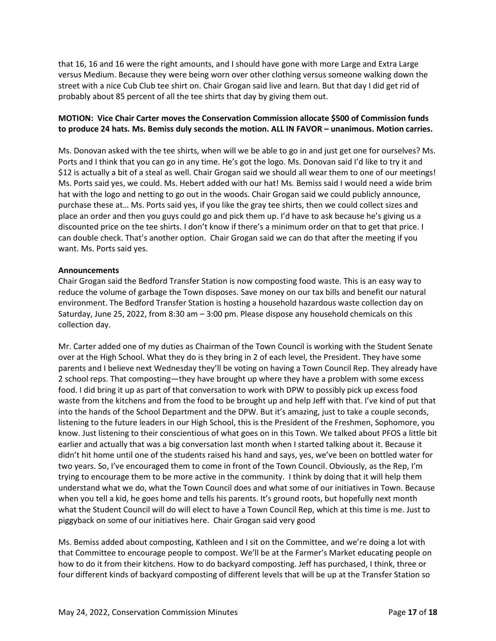that 16, 16 and 16 were the right amounts, and I should have gone with more Large and Extra Large versus Medium. Because they were being worn over other clothing versus someone walking down the street with a nice Cub Club tee shirt on. Chair Grogan said live and learn. But that day I did get rid of probably about 85 percent of all the tee shirts that day by giving them out.

## **MOTION: Vice Chair Carter moves the Conservation Commission allocate \$500 of Commission funds to produce 24 hats. Ms. Bemiss duly seconds the motion. ALL IN FAVOR – unanimous. Motion carries.**

Ms. Donovan asked with the tee shirts, when will we be able to go in and just get one for ourselves? Ms. Ports and I think that you can go in any time. He's got the logo. Ms. Donovan said I'd like to try it and \$12 is actually a bit of a steal as well. Chair Grogan said we should all wear them to one of our meetings! Ms. Ports said yes, we could. Ms. Hebert added with our hat! Ms. Bemiss said I would need a wide brim hat with the logo and netting to go out in the woods. Chair Grogan said we could publicly announce, purchase these at… Ms. Ports said yes, if you like the gray tee shirts, then we could collect sizes and place an order and then you guys could go and pick them up. I'd have to ask because he's giving us a discounted price on the tee shirts. I don't know if there's a minimum order on that to get that price. I can double check. That's another option. Chair Grogan said we can do that after the meeting if you want. Ms. Ports said yes.

#### **Announcements**

Chair Grogan said the Bedford Transfer Station is now composting food waste. This is an easy way to reduce the volume of garbage the Town disposes. Save money on our tax bills and benefit our natural environment. The Bedford Transfer Station is hosting a household hazardous waste collection day on Saturday, June 25, 2022, from 8:30 am – 3:00 pm. Please dispose any household chemicals on this collection day.

Mr. Carter added one of my duties as Chairman of the Town Council is working with the Student Senate over at the High School. What they do is they bring in 2 of each level, the President. They have some parents and I believe next Wednesday they'll be voting on having a Town Council Rep. They already have 2 school reps. That composting—they have brought up where they have a problem with some excess food. I did bring it up as part of that conversation to work with DPW to possibly pick up excess food waste from the kitchens and from the food to be brought up and help Jeff with that. I've kind of put that into the hands of the School Department and the DPW. But it's amazing, just to take a couple seconds, listening to the future leaders in our High School, this is the President of the Freshmen, Sophomore, you know. Just listening to their conscientious of what goes on in this Town. We talked about PFOS a little bit earlier and actually that was a big conversation last month when I started talking about it. Because it didn't hit home until one of the students raised his hand and says, yes, we've been on bottled water for two years. So, I've encouraged them to come in front of the Town Council. Obviously, as the Rep, I'm trying to encourage them to be more active in the community. I think by doing that it will help them understand what we do, what the Town Council does and what some of our initiatives in Town. Because when you tell a kid, he goes home and tells his parents. It's ground roots, but hopefully next month what the Student Council will do will elect to have a Town Council Rep, which at this time is me. Just to piggyback on some of our initiatives here. Chair Grogan said very good

Ms. Bemiss added about composting, Kathleen and I sit on the Committee, and we're doing a lot with that Committee to encourage people to compost. We'll be at the Farmer's Market educating people on how to do it from their kitchens. How to do backyard composting. Jeff has purchased, I think, three or four different kinds of backyard composting of different levels that will be up at the Transfer Station so